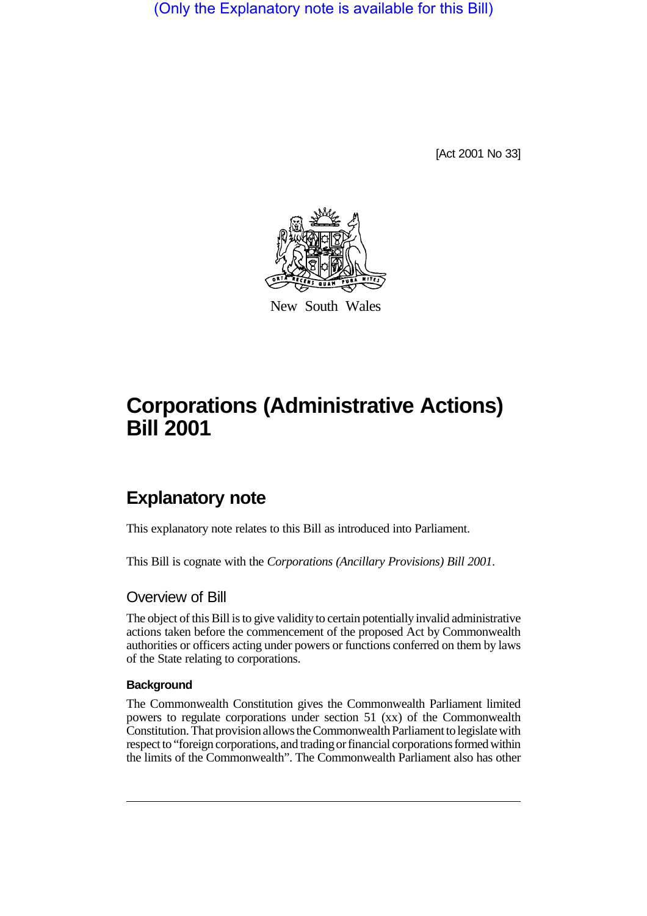(Only the Explanatory note is available for this Bill)

[Act 2001 No 33]



New South Wales

# **Corporations (Administrative Actions) Bill 2001**

# **Explanatory note**

This explanatory note relates to this Bill as introduced into Parliament.

This Bill is cognate with the *Corporations (Ancillary Provisions) Bill 2001*.

### Overview of Bill

The object of this Bill is to give validity to certain potentially invalid administrative actions taken before the commencement of the proposed Act by Commonwealth authorities or officers acting under powers or functions conferred on them by laws of the State relating to corporations.

#### **Background**

The Commonwealth Constitution gives the Commonwealth Parliament limited powers to regulate corporations under section 51 (xx) of the Commonwealth Constitution. That provision allows the Commonwealth Parliament to legislate with respect to "foreign corporations, and trading or financial corporations formed within the limits of the Commonwealth". The Commonwealth Parliament also has other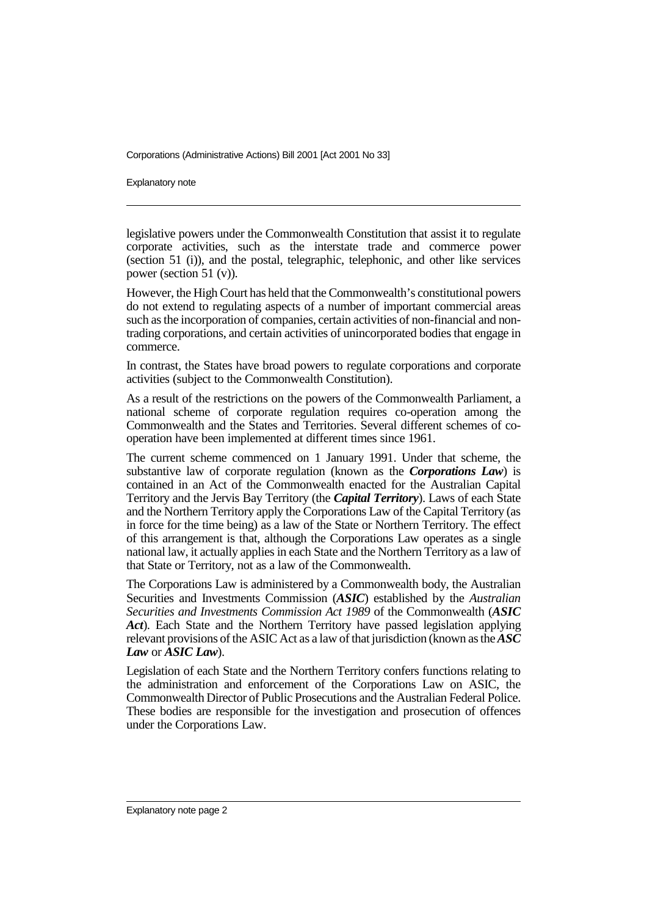Explanatory note

legislative powers under the Commonwealth Constitution that assist it to regulate corporate activities, such as the interstate trade and commerce power (section 51 (i)), and the postal, telegraphic, telephonic, and other like services power (section 51 (v)).

However, the High Court has held that the Commonwealth's constitutional powers do not extend to regulating aspects of a number of important commercial areas such as the incorporation of companies, certain activities of non-financial and nontrading corporations, and certain activities of unincorporated bodies that engage in commerce.

In contrast, the States have broad powers to regulate corporations and corporate activities (subject to the Commonwealth Constitution).

As a result of the restrictions on the powers of the Commonwealth Parliament, a national scheme of corporate regulation requires co-operation among the Commonwealth and the States and Territories. Several different schemes of cooperation have been implemented at different times since 1961.

The current scheme commenced on 1 January 1991. Under that scheme, the substantive law of corporate regulation (known as the *Corporations Law*) is contained in an Act of the Commonwealth enacted for the Australian Capital Territory and the Jervis Bay Territory (the *Capital Territory*). Laws of each State and the Northern Territory apply the Corporations Law of the Capital Territory (as in force for the time being) as a law of the State or Northern Territory. The effect of this arrangement is that, although the Corporations Law operates as a single national law, it actually applies in each State and the Northern Territory as a law of that State or Territory, not as a law of the Commonwealth.

The Corporations Law is administered by a Commonwealth body, the Australian Securities and Investments Commission (*ASIC*) established by the *Australian Securities and Investments Commission Act 1989* of the Commonwealth (*ASIC Act*). Each State and the Northern Territory have passed legislation applying relevant provisions of the ASIC Act as a law of that jurisdiction (known as the *ASC Law* or *ASIC Law*).

Legislation of each State and the Northern Territory confers functions relating to the administration and enforcement of the Corporations Law on ASIC, the Commonwealth Director of Public Prosecutions and the Australian Federal Police. These bodies are responsible for the investigation and prosecution of offences under the Corporations Law.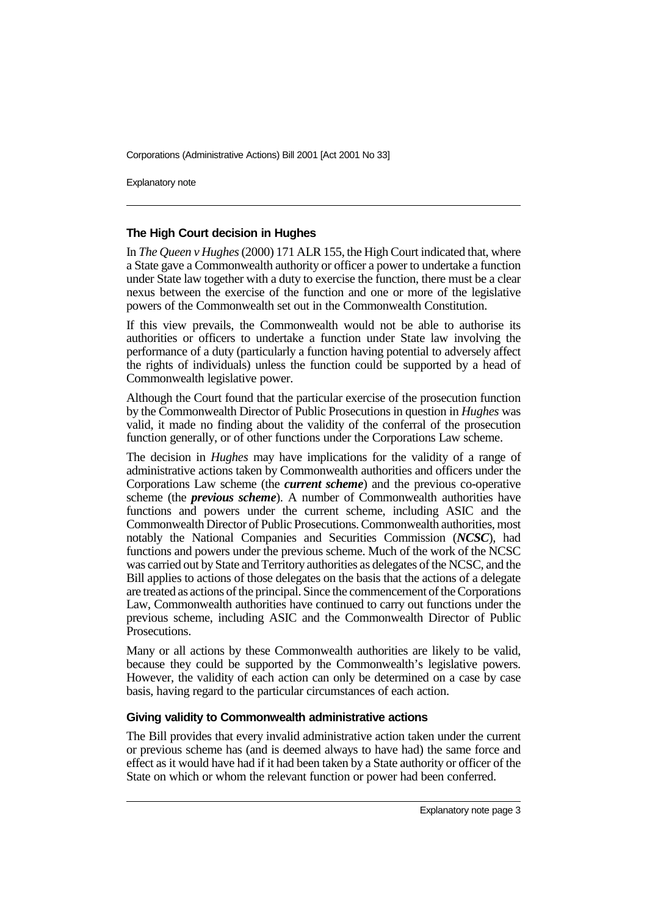Explanatory note

#### **The High Court decision in Hughes**

In *The Queen v Hughes* (2000) 171 ALR 155, the High Court indicated that, where a State gave a Commonwealth authority or officer a power to undertake a function under State law together with a duty to exercise the function, there must be a clear nexus between the exercise of the function and one or more of the legislative powers of the Commonwealth set out in the Commonwealth Constitution.

If this view prevails, the Commonwealth would not be able to authorise its authorities or officers to undertake a function under State law involving the performance of a duty (particularly a function having potential to adversely affect the rights of individuals) unless the function could be supported by a head of Commonwealth legislative power.

Although the Court found that the particular exercise of the prosecution function by the Commonwealth Director of Public Prosecutions in question in *Hughes* was valid, it made no finding about the validity of the conferral of the prosecution function generally, or of other functions under the Corporations Law scheme.

The decision in *Hughes* may have implications for the validity of a range of administrative actions taken by Commonwealth authorities and officers under the Corporations Law scheme (the *current scheme*) and the previous co-operative scheme (the *previous scheme*). A number of Commonwealth authorities have functions and powers under the current scheme, including ASIC and the Commonwealth Director of Public Prosecutions. Commonwealth authorities, most notably the National Companies and Securities Commission (*NCSC*), had functions and powers under the previous scheme. Much of the work of the NCSC was carried out by State and Territory authorities as delegates of the NCSC, and the Bill applies to actions of those delegates on the basis that the actions of a delegate are treated as actions of the principal. Since the commencement of the Corporations Law, Commonwealth authorities have continued to carry out functions under the previous scheme, including ASIC and the Commonwealth Director of Public Prosecutions.

Many or all actions by these Commonwealth authorities are likely to be valid, because they could be supported by the Commonwealth's legislative powers. However, the validity of each action can only be determined on a case by case basis, having regard to the particular circumstances of each action.

#### **Giving validity to Commonwealth administrative actions**

The Bill provides that every invalid administrative action taken under the current or previous scheme has (and is deemed always to have had) the same force and effect as it would have had if it had been taken by a State authority or officer of the State on which or whom the relevant function or power had been conferred.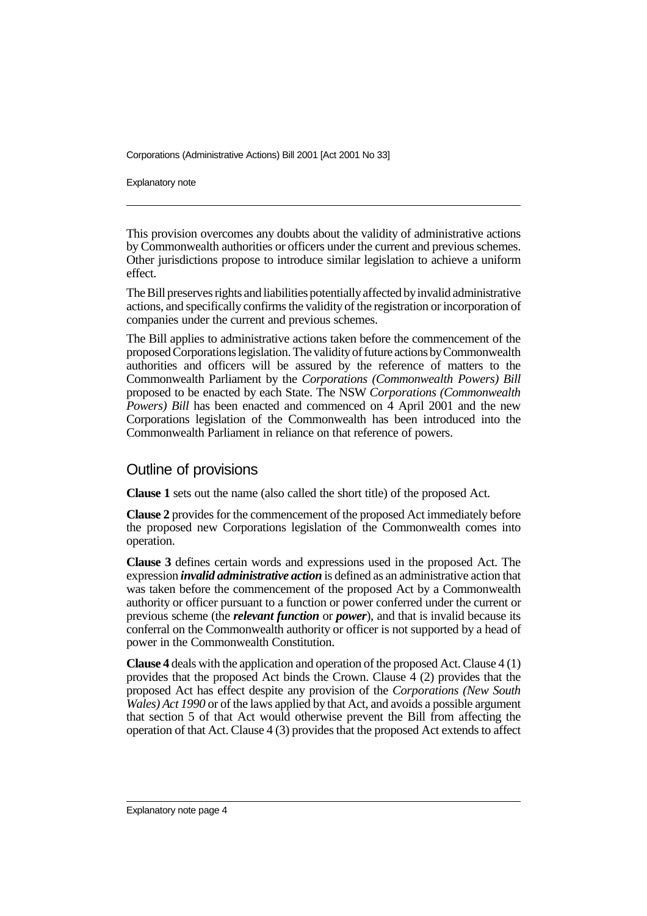Explanatory note

This provision overcomes any doubts about the validity of administrative actions by Commonwealth authorities or officers under the current and previous schemes. Other jurisdictions propose to introduce similar legislation to achieve a uniform effect.

The Bill preserves rights and liabilities potentially affected by invalid administrative actions, and specifically confirms the validity of the registration or incorporation of companies under the current and previous schemes.

The Bill applies to administrative actions taken before the commencement of the proposed Corporations legislation. The validity of future actions by Commonwealth authorities and officers will be assured by the reference of matters to the Commonwealth Parliament by the *Corporations (Commonwealth Powers) Bill* proposed to be enacted by each State. The NSW *Corporations (Commonwealth Powers) Bill* has been enacted and commenced on 4 April 2001 and the new Corporations legislation of the Commonwealth has been introduced into the Commonwealth Parliament in reliance on that reference of powers.

## Outline of provisions

**Clause 1** sets out the name (also called the short title) of the proposed Act.

**Clause 2** provides for the commencement of the proposed Act immediately before the proposed new Corporations legislation of the Commonwealth comes into operation.

**Clause 3** defines certain words and expressions used in the proposed Act. The expression *invalid administrative action* is defined as an administrative action that was taken before the commencement of the proposed Act by a Commonwealth authority or officer pursuant to a function or power conferred under the current or previous scheme (the *relevant function* or *power*), and that is invalid because its conferral on the Commonwealth authority or officer is not supported by a head of power in the Commonwealth Constitution.

**Clause 4** deals with the application and operation of the proposed Act. Clause 4 (1) provides that the proposed Act binds the Crown. Clause 4 (2) provides that the proposed Act has effect despite any provision of the *Corporations (New South Wales) Act 1990* or of the laws applied by that Act, and avoids a possible argument that section 5 of that Act would otherwise prevent the Bill from affecting the operation of that Act. Clause 4 (3) provides that the proposed Act extends to affect